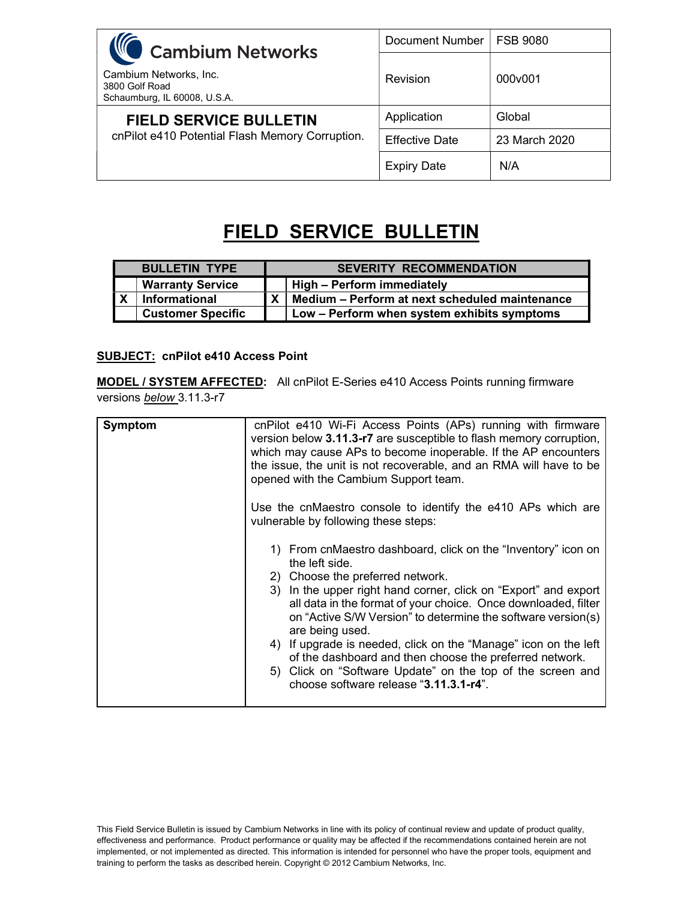| <b>WC</b> Cambium Networks                                               | Document Number       | <b>FSB 9080</b> |
|--------------------------------------------------------------------------|-----------------------|-----------------|
| Cambium Networks, Inc.<br>3800 Golf Road<br>Schaumburg, IL 60008, U.S.A. | Revision              | 000v001         |
| <b>FIELD SERVICE BULLETIN</b>                                            | Application           | Global          |
| cnPilot e410 Potential Flash Memory Corruption.                          | <b>Effective Date</b> | 23 March 2020   |
|                                                                          | <b>Expiry Date</b>    | N/A             |

## FIELD SERVICE BULLETIN

| <b>BULLETIN TYPE</b>     | <b>SEVERITY RECOMMENDATION</b> |                                                         |
|--------------------------|--------------------------------|---------------------------------------------------------|
| <b>Warranty Service</b>  |                                | High - Perform immediately                              |
| <b>Informational</b>     |                                | $X \mid$ Medium – Perform at next scheduled maintenance |
| <b>Customer Specific</b> |                                | Low - Perform when system exhibits symptoms             |

## SUBJECT: cnPilot e410 Access Point

MODEL / SYSTEM AFFECTED: All cnPilot E-Series e410 Access Points running firmware versions **below** 3.11.3-r7

| Symptom | cnPilot e410 Wi-Fi Access Points (APs) running with firmware<br>version below 3.11.3-r7 are susceptible to flash memory corruption,<br>which may cause APs to become inoperable. If the AP encounters<br>the issue, the unit is not recoverable, and an RMA will have to be<br>opened with the Cambium Support team.                                                                                                                                                                                                                                                              |  |
|---------|-----------------------------------------------------------------------------------------------------------------------------------------------------------------------------------------------------------------------------------------------------------------------------------------------------------------------------------------------------------------------------------------------------------------------------------------------------------------------------------------------------------------------------------------------------------------------------------|--|
|         | Use the cnMaestro console to identify the e410 APs which are<br>vulnerable by following these steps:                                                                                                                                                                                                                                                                                                                                                                                                                                                                              |  |
|         | 1) From cnMaestro dashboard, click on the "Inventory" icon on<br>the left side.<br>2) Choose the preferred network.<br>3) In the upper right hand corner, click on "Export" and export<br>all data in the format of your choice. Once downloaded, filter<br>on "Active S/W Version" to determine the software version(s)<br>are being used.<br>4) If upgrade is needed, click on the "Manage" icon on the left<br>of the dashboard and then choose the preferred network.<br>5) Click on "Software Update" on the top of the screen and<br>choose software release "3.11.3.1-r4". |  |